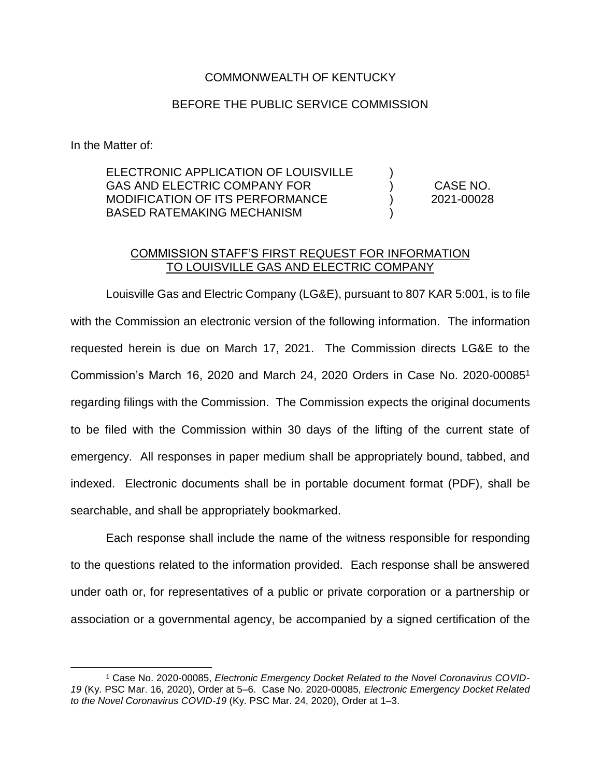## COMMONWEALTH OF KENTUCKY

## BEFORE THE PUBLIC SERVICE COMMISSION

In the Matter of:

 $\overline{a}$ 

ELECTRONIC APPLICATION OF LOUISVILLE GAS AND ELECTRIC COMPANY FOR MODIFICATION OF ITS PERFORMANCE BASED RATEMAKING MECHANISM ) ) ) ) CASE NO. 2021-00028

## COMMISSION STAFF'S FIRST REQUEST FOR INFORMATION TO LOUISVILLE GAS AND ELECTRIC COMPANY

Louisville Gas and Electric Company (LG&E), pursuant to 807 KAR 5:001, is to file with the Commission an electronic version of the following information. The information requested herein is due on March 17, 2021. The Commission directs LG&E to the Commission's March 16, 2020 and March 24, 2020 Orders in Case No. 2020-00085<sup>1</sup> regarding filings with the Commission. The Commission expects the original documents to be filed with the Commission within 30 days of the lifting of the current state of emergency. All responses in paper medium shall be appropriately bound, tabbed, and indexed. Electronic documents shall be in portable document format (PDF), shall be searchable, and shall be appropriately bookmarked.

Each response shall include the name of the witness responsible for responding to the questions related to the information provided. Each response shall be answered under oath or, for representatives of a public or private corporation or a partnership or association or a governmental agency, be accompanied by a signed certification of the

<sup>1</sup> Case No. 2020-00085, *Electronic Emergency Docket Related to the Novel Coronavirus COVID-19* (Ky. PSC Mar. 16, 2020), Order at 5–6. Case No. 2020-00085, *Electronic Emergency Docket Related to the Novel Coronavirus COVID-19* (Ky. PSC Mar. 24, 2020), Order at 1–3.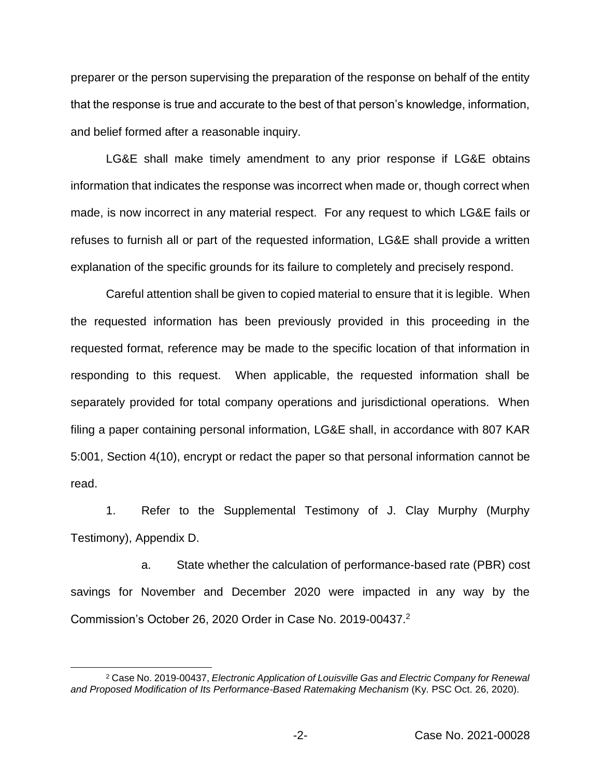preparer or the person supervising the preparation of the response on behalf of the entity that the response is true and accurate to the best of that person's knowledge, information, and belief formed after a reasonable inquiry.

LG&E shall make timely amendment to any prior response if LG&E obtains information that indicates the response was incorrect when made or, though correct when made, is now incorrect in any material respect. For any request to which LG&E fails or refuses to furnish all or part of the requested information, LG&E shall provide a written explanation of the specific grounds for its failure to completely and precisely respond.

Careful attention shall be given to copied material to ensure that it is legible. When the requested information has been previously provided in this proceeding in the requested format, reference may be made to the specific location of that information in responding to this request. When applicable, the requested information shall be separately provided for total company operations and jurisdictional operations. When filing a paper containing personal information, LG&E shall, in accordance with 807 KAR 5:001, Section 4(10), encrypt or redact the paper so that personal information cannot be read.

1. Refer to the Supplemental Testimony of J. Clay Murphy (Murphy Testimony), Appendix D.

a. State whether the calculation of performance-based rate (PBR) cost savings for November and December 2020 were impacted in any way by the Commission's October 26, 2020 Order in Case No. 2019-00437.<sup>2</sup>

 $\overline{a}$ 

<sup>2</sup> Case No. 2019-00437, *Electronic Application of Louisville Gas and Electric Company for Renewal and Proposed Modification of Its Performance-Based Ratemaking Mechanism* (Ky. PSC Oct. 26, 2020).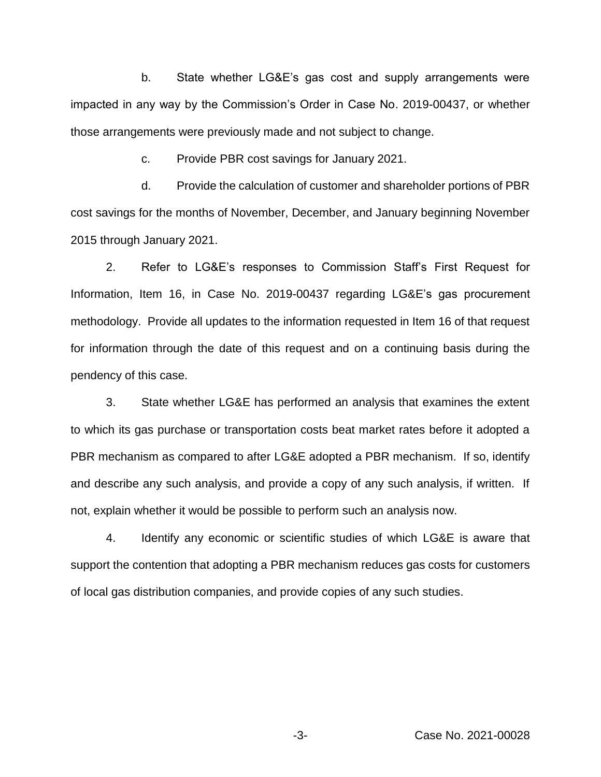b. State whether LG&E's gas cost and supply arrangements were impacted in any way by the Commission's Order in Case No. 2019-00437, or whether those arrangements were previously made and not subject to change.

c. Provide PBR cost savings for January 2021.

d. Provide the calculation of customer and shareholder portions of PBR cost savings for the months of November, December, and January beginning November 2015 through January 2021.

2. Refer to LG&E's responses to Commission Staff's First Request for Information, Item 16, in Case No. 2019-00437 regarding LG&E's gas procurement methodology. Provide all updates to the information requested in Item 16 of that request for information through the date of this request and on a continuing basis during the pendency of this case.

3. State whether LG&E has performed an analysis that examines the extent to which its gas purchase or transportation costs beat market rates before it adopted a PBR mechanism as compared to after LG&E adopted a PBR mechanism. If so, identify and describe any such analysis, and provide a copy of any such analysis, if written. If not, explain whether it would be possible to perform such an analysis now.

4. Identify any economic or scientific studies of which LG&E is aware that support the contention that adopting a PBR mechanism reduces gas costs for customers of local gas distribution companies, and provide copies of any such studies.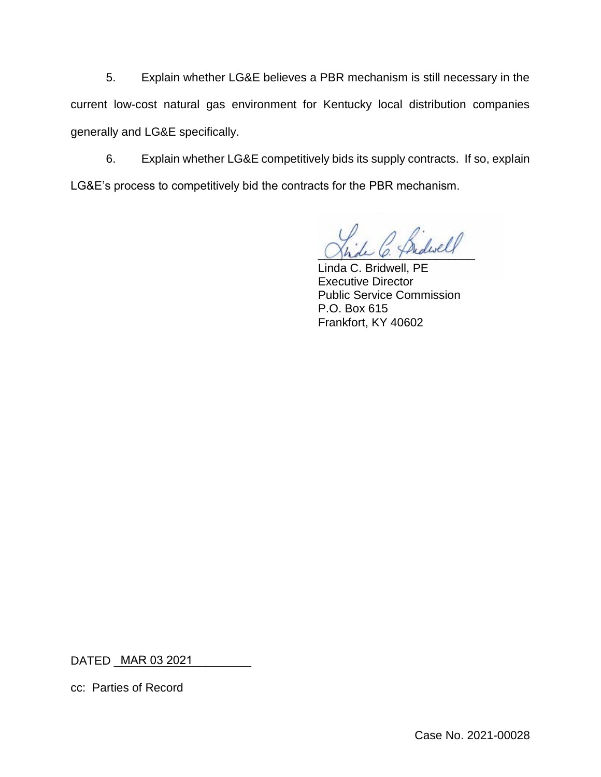5. Explain whether LG&E believes a PBR mechanism is still necessary in the current low-cost natural gas environment for Kentucky local distribution companies generally and LG&E specifically.

6. Explain whether LG&E competitively bids its supply contracts. If so, explain LG&E's process to competitively bid the contracts for the PBR mechanism.

Ardwell

Linda C. Bridwell, PE Executive Director Public Service Commission P.O. Box 615 Frankfort, KY 40602

DATED \_\_\_\_\_\_\_\_\_\_\_\_\_\_\_\_\_\_\_\_\_ MAR 03 2021

cc: Parties of Record